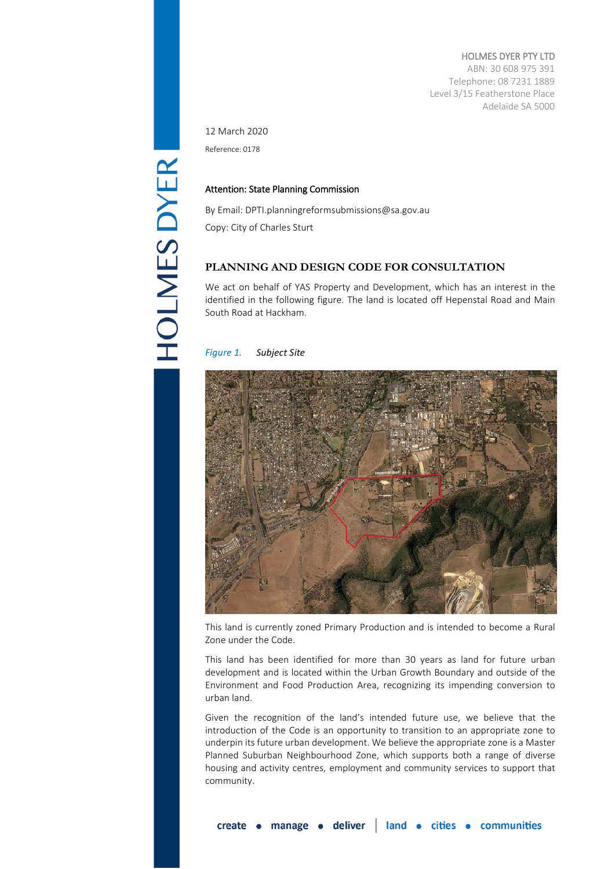HOLMES DYER PTY LTD ABN: 30 608 975 391 Telephone: 08 7231 1889 Level 3/15 Featherstone Place Adelaide SA 5000

## 12 March 2020

Reference: 0178

# Attention: State Planning Commission

By Email[: DPTI.planningreformsubmissions@sa.gov.au](mailto:DPTI.planningreformsubmissions@sa.gov.au)  Copy: City of Charles Sturt

# **PLANNING AND DESIGN CODE FOR CONSULTATION**

We act on behalf of YAS Property and Development, which has an interest in the identified in the following figure. The land is located off Hepenstal Road and Main South Road at Hackham.

## *Figure 1. Subject Site*



This land is currently zoned Primary Production and is intended to become a Rural Zone under the Code.

This land has been identified for more than 30 years as land for future urban development and is located within the Urban Growth Boundary and outside of the Environment and Food Production Area, recognizing its impending conversion to urban land.

Given the recognition of the land's intended future use, we believe that the introduction of the Code is an opportunity to transition to an appropriate zone to underpin its future urban development. We believe the appropriate zone is a Master Planned Suburban Neighbourhood Zone, which supports both a range of diverse housing and activity centres, employment and community services to support that community.

HOLMES DYER